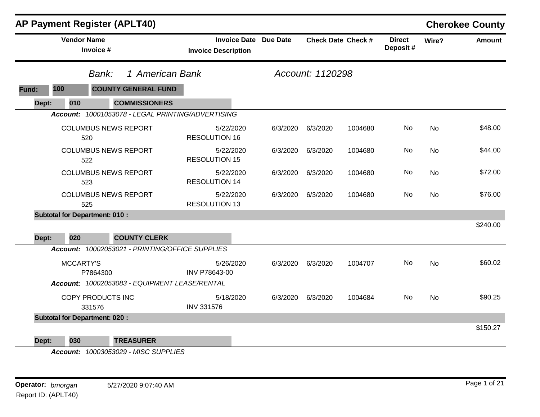|       |                                      |                             | <b>AP Payment Register (APLT40)</b>                                    |                                   |                              |                  |                           |                           |           | <b>Cherokee County</b> |
|-------|--------------------------------------|-----------------------------|------------------------------------------------------------------------|-----------------------------------|------------------------------|------------------|---------------------------|---------------------------|-----------|------------------------|
|       | <b>Vendor Name</b>                   | Invoice #                   |                                                                        | <b>Invoice Description</b>        | <b>Invoice Date Due Date</b> |                  | <b>Check Date Check #</b> | <b>Direct</b><br>Deposit# | Wire?     | <b>Amount</b>          |
|       |                                      | Bank:                       | 1 American Bank                                                        |                                   |                              | Account: 1120298 |                           |                           |           |                        |
| Fund: | 100                                  |                             | <b>COUNTY GENERAL FUND</b>                                             |                                   |                              |                  |                           |                           |           |                        |
| Dept: | 010                                  |                             | <b>COMMISSIONERS</b>                                                   |                                   |                              |                  |                           |                           |           |                        |
|       |                                      |                             | Account: 10001053078 - LEGAL PRINTING/ADVERTISING                      |                                   |                              |                  |                           |                           |           |                        |
|       |                                      | 520                         | <b>COLUMBUS NEWS REPORT</b>                                            | 5/22/2020<br><b>RESOLUTION 16</b> | 6/3/2020                     | 6/3/2020         | 1004680                   | No                        | No        | \$48.00                |
|       |                                      | 522                         | <b>COLUMBUS NEWS REPORT</b>                                            | 5/22/2020<br><b>RESOLUTION 15</b> | 6/3/2020                     | 6/3/2020         | 1004680                   | No                        | <b>No</b> | \$44.00                |
|       |                                      | 523                         | <b>COLUMBUS NEWS REPORT</b>                                            | 5/22/2020<br><b>RESOLUTION 14</b> | 6/3/2020                     | 6/3/2020         | 1004680                   | No                        | <b>No</b> | \$72.00                |
|       |                                      | 525                         | <b>COLUMBUS NEWS REPORT</b>                                            | 5/22/2020<br><b>RESOLUTION 13</b> | 6/3/2020                     | 6/3/2020         | 1004680                   | No                        | No        | \$76.00                |
|       | <b>Subtotal for Department: 010:</b> |                             |                                                                        |                                   |                              |                  |                           |                           |           |                        |
|       |                                      |                             |                                                                        |                                   |                              |                  |                           |                           |           | \$240.00               |
| Dept: | 020                                  |                             | <b>COUNTY CLERK</b><br>Account: 10002053021 - PRINTING/OFFICE SUPPLIES |                                   |                              |                  |                           |                           |           |                        |
|       | MCCARTY'S                            | P7864300                    |                                                                        | 5/26/2020<br>INV P78643-00        | 6/3/2020                     | 6/3/2020         | 1004707                   | No                        | <b>No</b> | \$60.02                |
|       |                                      |                             | Account: 10002053083 - EQUIPMENT LEASE/RENTAL                          |                                   |                              |                  |                           |                           |           |                        |
|       |                                      | COPY PRODUCTS INC<br>331576 |                                                                        | 5/18/2020<br><b>INV 331576</b>    | 6/3/2020                     | 6/3/2020         | 1004684                   | No                        | <b>No</b> | \$90.25                |
|       | <b>Subtotal for Department: 020:</b> |                             |                                                                        |                                   |                              |                  |                           |                           |           |                        |
|       |                                      |                             |                                                                        |                                   |                              |                  |                           |                           |           | \$150.27               |
| Dept: | 030                                  |                             | <b>TREASURER</b>                                                       |                                   |                              |                  |                           |                           |           |                        |

*Account: 10003053029 - MISC SUPPLIES*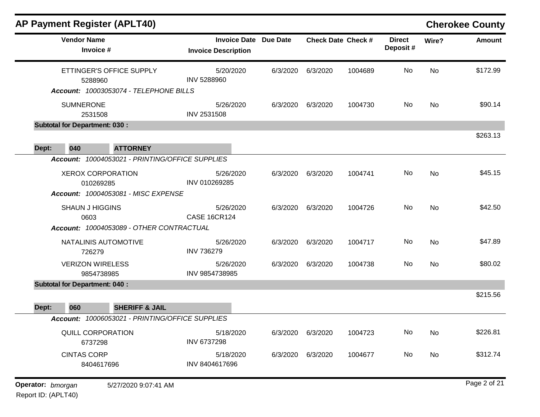| <b>AP Payment Register (APLT40)</b>                                          |                                                            |          |                           |         |                           |           | <b>Cherokee County</b> |
|------------------------------------------------------------------------------|------------------------------------------------------------|----------|---------------------------|---------|---------------------------|-----------|------------------------|
| <b>Vendor Name</b><br>Invoice #                                              | <b>Invoice Date Due Date</b><br><b>Invoice Description</b> |          | <b>Check Date Check #</b> |         | <b>Direct</b><br>Deposit# | Wire?     | <b>Amount</b>          |
| ETTINGER'S OFFICE SUPPLY<br>5288960                                          | 5/20/2020<br>INV 5288960                                   | 6/3/2020 | 6/3/2020                  | 1004689 | No                        | <b>No</b> | \$172.99               |
| Account: 10003053074 - TELEPHONE BILLS                                       |                                                            |          |                           |         |                           |           |                        |
| <b>SUMNERONE</b><br>2531508                                                  | 5/26/2020<br><b>INV 2531508</b>                            | 6/3/2020 | 6/3/2020                  | 1004730 | No                        | No        | \$90.14                |
| <b>Subtotal for Department: 030:</b>                                         |                                                            |          |                           |         |                           |           |                        |
| 040<br><b>ATTORNEY</b><br>Dept:                                              |                                                            |          |                           |         |                           |           | \$263.13               |
| Account: 10004053021 - PRINTING/OFFICE SUPPLIES                              |                                                            |          |                           |         |                           |           |                        |
| <b>XEROX CORPORATION</b><br>010269285<br>Account: 10004053081 - MISC EXPENSE | 5/26/2020<br>INV 010269285                                 | 6/3/2020 | 6/3/2020                  | 1004741 | No                        | No        | \$45.15                |
|                                                                              |                                                            |          |                           |         |                           |           |                        |
| <b>SHAUN J HIGGINS</b><br>0603                                               | 5/26/2020<br><b>CASE 16CR124</b>                           | 6/3/2020 | 6/3/2020                  | 1004726 | No                        | No        | \$42.50                |
| Account: 10004053089 - OTHER CONTRACTUAL                                     |                                                            |          |                           |         |                           |           |                        |
| NATALINIS AUTOMOTIVE<br>726279                                               | 5/26/2020<br><b>INV 736279</b>                             | 6/3/2020 | 6/3/2020                  | 1004717 | No                        | No        | \$47.89                |
| <b>VERIZON WIRELESS</b><br>9854738985                                        | 5/26/2020<br>INV 9854738985                                | 6/3/2020 | 6/3/2020                  | 1004738 | No                        | No        | \$80.02                |
| <b>Subtotal for Department: 040:</b>                                         |                                                            |          |                           |         |                           |           |                        |
| 060<br><b>SHERIFF &amp; JAIL</b><br>Dept:                                    |                                                            |          |                           |         |                           |           | \$215.56               |
| Account: 10006053021 - PRINTING/OFFICE SUPPLIES                              |                                                            |          |                           |         |                           |           |                        |
| QUILL CORPORATION<br>6737298                                                 | 5/18/2020<br>INV 6737298                                   | 6/3/2020 | 6/3/2020                  | 1004723 | No                        | No        | \$226.81               |
| <b>CINTAS CORP</b><br>8404617696                                             | 5/18/2020<br>INV 8404617696                                | 6/3/2020 | 6/3/2020                  | 1004677 | No                        | No        | \$312.74               |
| Operator: bmorgan<br>5/27/2020 9:07:41 AM                                    |                                                            |          |                           |         |                           |           | Page 2 of 21           |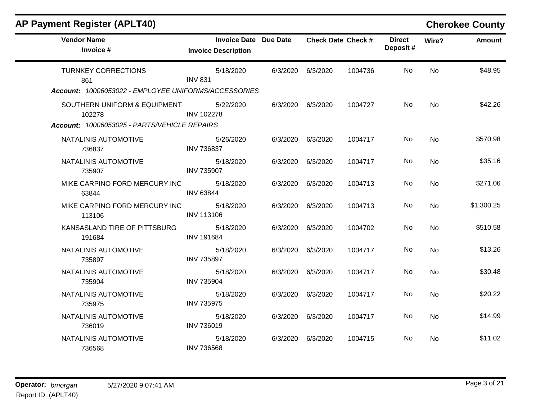# **AP Payment Register (APLT40) Cherokee County**

| <b>Vendor Name</b><br>Invoice #                      | <b>Invoice Date Due Date</b><br><b>Invoice Description</b> |          | <b>Check Date Check #</b> |         | <b>Direct</b><br>Deposit# | Wire?     | <b>Amount</b> |
|------------------------------------------------------|------------------------------------------------------------|----------|---------------------------|---------|---------------------------|-----------|---------------|
| <b>TURNKEY CORRECTIONS</b><br>861                    | 5/18/2020<br><b>INV 831</b>                                | 6/3/2020 | 6/3/2020                  | 1004736 | No                        | <b>No</b> | \$48.95       |
| Account: 10006053022 - EMPLOYEE UNIFORMS/ACCESSORIES |                                                            |          |                           |         |                           |           |               |
| SOUTHERN UNIFORM & EQUIPMENT<br>102278               | 5/22/2020<br><b>INV 102278</b>                             |          | 6/3/2020 6/3/2020         | 1004727 | No.                       | <b>No</b> | \$42.26       |
| Account: 10006053025 - PARTS/VEHICLE REPAIRS         |                                                            |          |                           |         |                           |           |               |
| NATALINIS AUTOMOTIVE<br>736837                       | 5/26/2020<br><b>INV 736837</b>                             |          | 6/3/2020 6/3/2020         | 1004717 | No                        | No        | \$570.98      |
| NATALINIS AUTOMOTIVE<br>735907                       | 5/18/2020<br><b>INV 735907</b>                             |          | 6/3/2020 6/3/2020         | 1004717 | No                        | No        | \$35.16       |
| MIKE CARPINO FORD MERCURY INC<br>63844               | 5/18/2020<br><b>INV 63844</b>                              | 6/3/2020 | 6/3/2020                  | 1004713 | No.                       | <b>No</b> | \$271.06      |
| MIKE CARPINO FORD MERCURY INC<br>113106              | 5/18/2020<br><b>INV 113106</b>                             | 6/3/2020 | 6/3/2020                  | 1004713 | No                        | No        | \$1,300.25    |
| KANSASLAND TIRE OF PITTSBURG<br>191684               | 5/18/2020<br><b>INV 191684</b>                             |          | 6/3/2020 6/3/2020         | 1004702 | No.                       | <b>No</b> | \$510.58      |
| NATALINIS AUTOMOTIVE<br>735897                       | 5/18/2020<br><b>INV 735897</b>                             | 6/3/2020 | 6/3/2020                  | 1004717 | No.                       | No        | \$13.26       |
| NATALINIS AUTOMOTIVE<br>735904                       | 5/18/2020<br><b>INV 735904</b>                             | 6/3/2020 | 6/3/2020                  | 1004717 | No.                       | <b>No</b> | \$30.48       |
| NATALINIS AUTOMOTIVE<br>735975                       | 5/18/2020<br><b>INV 735975</b>                             | 6/3/2020 | 6/3/2020                  | 1004717 | No                        | <b>No</b> | \$20.22       |
| NATALINIS AUTOMOTIVE<br>736019                       | 5/18/2020<br><b>INV 736019</b>                             | 6/3/2020 | 6/3/2020                  | 1004717 | No                        | <b>No</b> | \$14.99       |
| NATALINIS AUTOMOTIVE<br>736568                       | 5/18/2020<br><b>INV 736568</b>                             | 6/3/2020 | 6/3/2020                  | 1004715 | No                        | No        | \$11.02       |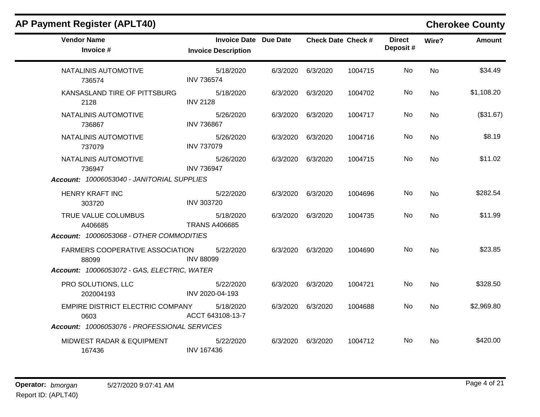| <b>AP Payment Register (APLT40)</b>             |                                                            |          |                   |                           |                           |           | <b>Cherokee County</b> |
|-------------------------------------------------|------------------------------------------------------------|----------|-------------------|---------------------------|---------------------------|-----------|------------------------|
| <b>Vendor Name</b><br>Invoice #                 | <b>Invoice Date Due Date</b><br><b>Invoice Description</b> |          |                   | <b>Check Date Check #</b> | <b>Direct</b><br>Deposit# | Wire?     | <b>Amount</b>          |
| NATALINIS AUTOMOTIVE<br>736574                  | 5/18/2020<br><b>INV 736574</b>                             |          | 6/3/2020 6/3/2020 | 1004715                   | No.                       | <b>No</b> | \$34.49                |
| KANSASLAND TIRE OF PITTSBURG<br>2128            | 5/18/2020<br><b>INV 2128</b>                               | 6/3/2020 | 6/3/2020          | 1004702                   | No                        | <b>No</b> | \$1,108.20             |
| NATALINIS AUTOMOTIVE<br>736867                  | 5/26/2020<br><b>INV 736867</b>                             | 6/3/2020 | 6/3/2020          | 1004717                   | No.                       | <b>No</b> | (\$31.67)              |
| NATALINIS AUTOMOTIVE<br>737079                  | 5/26/2020<br><b>INV 737079</b>                             | 6/3/2020 | 6/3/2020          | 1004716                   | No                        | No        | \$8.19                 |
| NATALINIS AUTOMOTIVE<br>736947                  | 5/26/2020<br><b>INV 736947</b>                             |          | 6/3/2020 6/3/2020 | 1004715                   | No.                       | No        | \$11.02                |
| Account: 10006053040 - JANITORIAL SUPPLIES      |                                                            |          |                   |                           |                           |           |                        |
| <b>HENRY KRAFT INC</b><br>303720                | 5/22/2020<br><b>INV 303720</b>                             |          | 6/3/2020 6/3/2020 | 1004696                   | No.                       | <b>No</b> | \$282.54               |
| TRUE VALUE COLUMBUS<br>A406685                  | 5/18/2020<br><b>TRANS A406685</b>                          | 6/3/2020 | 6/3/2020          | 1004735                   | No.                       | No        | \$11.99                |
| Account: 10006053068 - OTHER COMMODITIES        |                                                            |          |                   |                           |                           |           |                        |
| <b>FARMERS COOPERATIVE ASSOCIATION</b><br>88099 | 5/22/2020<br><b>INV 88099</b>                              | 6/3/2020 | 6/3/2020          | 1004690                   | No.                       | No        | \$23.85                |
| Account: 10006053072 - GAS, ELECTRIC, WATER     |                                                            |          |                   |                           |                           |           |                        |
| PRO SOLUTIONS, LLC<br>202004193                 | 5/22/2020<br>INV 2020-04-193                               |          | 6/3/2020 6/3/2020 | 1004721                   | No.                       | <b>No</b> | \$328.50               |
| EMPIRE DISTRICT ELECTRIC COMPANY<br>0603        | 5/18/2020<br>ACCT 643108-13-7                              | 6/3/2020 | 6/3/2020          | 1004688                   | No.                       | <b>No</b> | \$2,969.80             |
| Account: 10006053076 - PROFESSIONAL SERVICES    |                                                            |          |                   |                           |                           |           |                        |
| MIDWEST RADAR & EQUIPMENT<br>167436             | 5/22/2020<br><b>INV 167436</b>                             | 6/3/2020 | 6/3/2020          | 1004712                   | No.                       | No        | \$420.00               |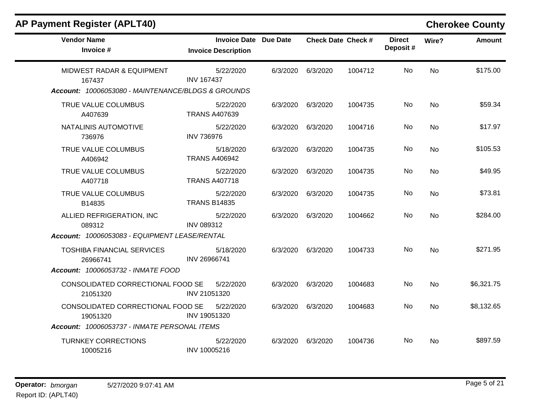# **AP Payment Register (APLT40) Cherokee County**

| <b>Vendor Name</b><br>Invoice #                                                           | Invoice Date Due Date<br><b>Invoice Description</b> |          | <b>Check Date Check #</b> |         | <b>Direct</b><br>Deposit# | Wire?     | <b>Amount</b> |
|-------------------------------------------------------------------------------------------|-----------------------------------------------------|----------|---------------------------|---------|---------------------------|-----------|---------------|
| MIDWEST RADAR & EQUIPMENT<br>167437<br>Account: 10006053080 - MAINTENANCE/BLDGS & GROUNDS | 5/22/2020<br><b>INV 167437</b>                      | 6/3/2020 | 6/3/2020                  | 1004712 | <b>No</b>                 | <b>No</b> | \$175.00      |
| TRUE VALUE COLUMBUS<br>A407639                                                            | 5/22/2020<br><b>TRANS A407639</b>                   | 6/3/2020 | 6/3/2020                  | 1004735 | No                        | <b>No</b> | \$59.34       |
| NATALINIS AUTOMOTIVE<br>736976                                                            | 5/22/2020<br><b>INV 736976</b>                      | 6/3/2020 | 6/3/2020                  | 1004716 | No.                       | <b>No</b> | \$17.97       |
| TRUE VALUE COLUMBUS<br>A406942                                                            | 5/18/2020<br><b>TRANS A406942</b>                   | 6/3/2020 | 6/3/2020                  | 1004735 | No                        | No        | \$105.53      |
| TRUE VALUE COLUMBUS<br>A407718                                                            | 5/22/2020<br><b>TRANS A407718</b>                   | 6/3/2020 | 6/3/2020                  | 1004735 | No                        | No        | \$49.95       |
| TRUE VALUE COLUMBUS<br>B14835                                                             | 5/22/2020<br><b>TRANS B14835</b>                    | 6/3/2020 | 6/3/2020                  | 1004735 | No                        | <b>No</b> | \$73.81       |
| ALLIED REFRIGERATION, INC<br>089312<br>Account: 10006053083 - EQUIPMENT LEASE/RENTAL      | 5/22/2020<br>INV 089312                             | 6/3/2020 | 6/3/2020                  | 1004662 | No                        | <b>No</b> | \$284.00      |
| <b>TOSHIBA FINANCIAL SERVICES</b><br>26966741<br>Account: 10006053732 - INMATE FOOD       | 5/18/2020<br>INV 26966741                           | 6/3/2020 | 6/3/2020                  | 1004733 | No                        | <b>No</b> | \$271.95      |
| CONSOLIDATED CORRECTIONAL FOOD SE<br>21051320                                             | 5/22/2020<br>INV 21051320                           | 6/3/2020 | 6/3/2020                  | 1004683 | No                        | <b>No</b> | \$6,321.75    |
| CONSOLIDATED CORRECTIONAL FOOD SE<br>19051320                                             | 5/22/2020<br>INV 19051320                           | 6/3/2020 | 6/3/2020                  | 1004683 | No.                       | <b>No</b> | \$8,132.65    |
| Account: 10006053737 - INMATE PERSONAL ITEMS                                              |                                                     |          |                           |         |                           |           |               |
| <b>TURNKEY CORRECTIONS</b><br>10005216                                                    | 5/22/2020<br>INV 10005216                           | 6/3/2020 | 6/3/2020                  | 1004736 | No.                       | No        | \$897.59      |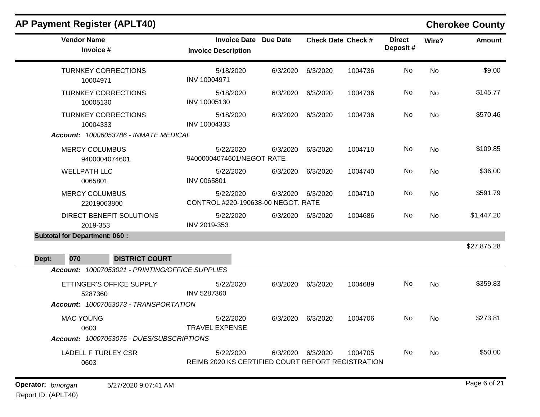| <b>AP Payment Register (APLT40)</b>             |                                                                |          |          |                           |                           |           | <b>Cherokee County</b> |
|-------------------------------------------------|----------------------------------------------------------------|----------|----------|---------------------------|---------------------------|-----------|------------------------|
| <b>Vendor Name</b><br>Invoice #                 | <b>Invoice Date Due Date</b><br><b>Invoice Description</b>     |          |          | <b>Check Date Check #</b> | <b>Direct</b><br>Deposit# | Wire?     | <b>Amount</b>          |
| <b>TURNKEY CORRECTIONS</b><br>10004971          | 5/18/2020<br>INV 10004971                                      | 6/3/2020 | 6/3/2020 | 1004736                   | No                        | <b>No</b> | \$9.00                 |
| <b>TURNKEY CORRECTIONS</b><br>10005130          | 5/18/2020<br>INV 10005130                                      | 6/3/2020 | 6/3/2020 | 1004736                   | No.                       | No        | \$145.77               |
| <b>TURNKEY CORRECTIONS</b><br>10004333          | 5/18/2020<br>INV 10004333                                      | 6/3/2020 | 6/3/2020 | 1004736                   | No                        | <b>No</b> | \$570.46               |
| Account: 10006053786 - INMATE MEDICAL           |                                                                |          |          |                           |                           |           |                        |
| <b>MERCY COLUMBUS</b><br>9400004074601          | 5/22/2020<br>94000004074601/NEGOT RATE                         | 6/3/2020 | 6/3/2020 | 1004710                   | No.                       | No        | \$109.85               |
| <b>WELLPATH LLC</b><br>0065801                  | 5/22/2020<br>INV 0065801                                       | 6/3/2020 | 6/3/2020 | 1004740                   | No                        | <b>No</b> | \$36.00                |
| <b>MERCY COLUMBUS</b><br>22019063800            | 5/22/2020<br>CONTROL #220-190638-00 NEGOT. RATE                | 6/3/2020 | 6/3/2020 | 1004710                   | No                        | <b>No</b> | \$591.79               |
| DIRECT BENEFIT SOLUTIONS<br>2019-353            | 5/22/2020<br>INV 2019-353                                      | 6/3/2020 | 6/3/2020 | 1004686                   | No.                       | No        | \$1,447.20             |
| <b>Subtotal for Department: 060:</b>            |                                                                |          |          |                           |                           |           |                        |
| 070<br><b>DISTRICT COURT</b><br>Dept:           |                                                                |          |          |                           |                           |           | \$27,875.28            |
| Account: 10007053021 - PRINTING/OFFICE SUPPLIES |                                                                |          |          |                           |                           |           |                        |
| ETTINGER'S OFFICE SUPPLY<br>5287360             | 5/22/2020<br><b>INV 5287360</b>                                | 6/3/2020 | 6/3/2020 | 1004689                   | <b>No</b>                 | <b>No</b> | \$359.83               |
| Account: 10007053073 - TRANSPORTATION           |                                                                |          |          |                           |                           |           |                        |
| <b>MAC YOUNG</b><br>0603                        | 5/22/2020<br><b>TRAVEL EXPENSE</b>                             | 6/3/2020 | 6/3/2020 | 1004706                   | No.                       | <b>No</b> | \$273.81               |
| Account: 10007053075 - DUES/SUBSCRIPTIONS       |                                                                |          |          |                           |                           |           |                        |
| <b>LADELL F TURLEY CSR</b><br>0603              | 5/22/2020<br>REIMB 2020 KS CERTIFIED COURT REPORT REGISTRATION | 6/3/2020 | 6/3/2020 | 1004705                   | No.                       | No        | \$50.00                |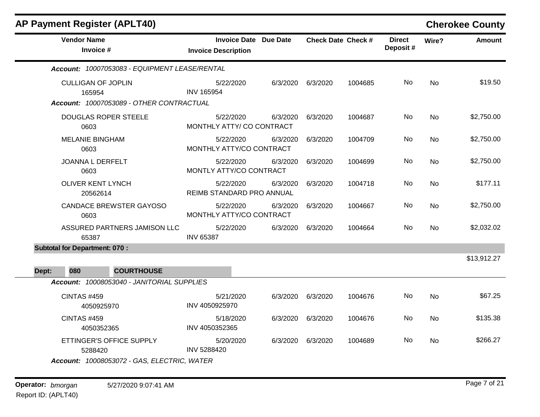| <b>AP Payment Register (APLT40)</b>           |                                                            |          |          |                           |                           |           | <b>Cherokee County</b> |
|-----------------------------------------------|------------------------------------------------------------|----------|----------|---------------------------|---------------------------|-----------|------------------------|
| <b>Vendor Name</b><br>Invoice #               | <b>Invoice Date Due Date</b><br><b>Invoice Description</b> |          |          | <b>Check Date Check #</b> | <b>Direct</b><br>Deposit# | Wire?     | <b>Amount</b>          |
| Account: 10007053083 - EQUIPMENT LEASE/RENTAL |                                                            |          |          |                           |                           |           |                        |
| <b>CULLIGAN OF JOPLIN</b><br>165954           | 5/22/2020<br><b>INV 165954</b>                             | 6/3/2020 | 6/3/2020 | 1004685                   | No                        | <b>No</b> | \$19.50                |
| Account: 10007053089 - OTHER CONTRACTUAL      |                                                            |          |          |                           |                           |           |                        |
| <b>DOUGLAS ROPER STEELE</b><br>0603           | 5/22/2020<br>MONTHLY ATTY/ CO CONTRACT                     | 6/3/2020 | 6/3/2020 | 1004687                   | No.                       | <b>No</b> | \$2,750.00             |
| <b>MELANIE BINGHAM</b><br>0603                | 5/22/2020<br>MONTHLY ATTY/CO CONTRACT                      | 6/3/2020 | 6/3/2020 | 1004709                   | No                        | <b>No</b> | \$2,750.00             |
| <b>JOANNA L DERFELT</b><br>0603               | 5/22/2020<br>MONTLY ATTY/CO CONTRACT                       | 6/3/2020 | 6/3/2020 | 1004699                   | No                        | <b>No</b> | \$2,750.00             |
| <b>OLIVER KENT LYNCH</b><br>20562614          | 5/22/2020<br>REIMB STANDARD PRO ANNUAL                     | 6/3/2020 | 6/3/2020 | 1004718                   | No                        | No        | \$177.11               |
| <b>CANDACE BREWSTER GAYOSO</b><br>0603        | 5/22/2020<br>MONTHLY ATTY/CO CONTRACT                      | 6/3/2020 | 6/3/2020 | 1004667                   | No                        | No        | \$2,750.00             |
| ASSURED PARTNERS JAMISON LLC<br>65387         | 5/22/2020<br><b>INV 65387</b>                              | 6/3/2020 | 6/3/2020 | 1004664                   | No                        | <b>No</b> | \$2,032.02             |
| <b>Subtotal for Department: 070:</b>          |                                                            |          |          |                           |                           |           |                        |
|                                               |                                                            |          |          |                           |                           |           | \$13,912.27            |
| 080<br><b>COURTHOUSE</b><br>Dept:             |                                                            |          |          |                           |                           |           |                        |
| Account: 10008053040 - JANITORIAL SUPPLIES    |                                                            |          |          |                           |                           |           |                        |
| <b>CINTAS #459</b><br>4050925970              | 5/21/2020<br>INV 4050925970                                | 6/3/2020 | 6/3/2020 | 1004676                   | No                        | <b>No</b> | \$67.25                |
| <b>CINTAS #459</b><br>4050352365              | 5/18/2020<br>INV 4050352365                                | 6/3/2020 | 6/3/2020 | 1004676                   | No                        | No        | \$135.38               |
| ETTINGER'S OFFICE SUPPLY<br>5288420           | 5/20/2020<br><b>INV 5288420</b>                            | 6/3/2020 | 6/3/2020 | 1004689                   | No.                       | No        | \$266.27               |

*Account: 10008053072 - GAS, ELECTRIC, WATER*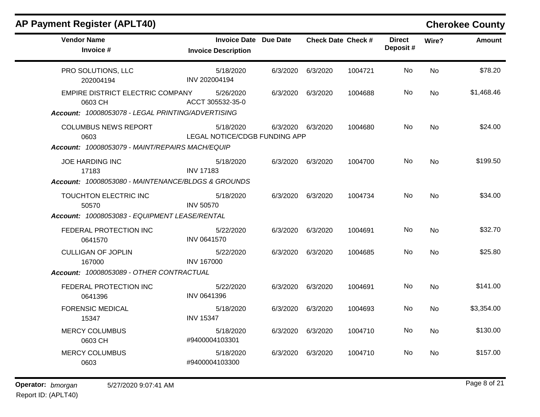| <b>AP Payment Register (APLT40)</b>                                                              |                                                            |          |                   |                           |                           |           | <b>Cherokee County</b> |
|--------------------------------------------------------------------------------------------------|------------------------------------------------------------|----------|-------------------|---------------------------|---------------------------|-----------|------------------------|
| <b>Vendor Name</b><br>Invoice #                                                                  | <b>Invoice Date Due Date</b><br><b>Invoice Description</b> |          |                   | <b>Check Date Check #</b> | <b>Direct</b><br>Deposit# | Wire?     | <b>Amount</b>          |
| PRO SOLUTIONS, LLC<br>202004194                                                                  | 5/18/2020<br>INV 202004194                                 | 6/3/2020 | 6/3/2020          | 1004721                   | No                        | <b>No</b> | \$78.20                |
| EMPIRE DISTRICT ELECTRIC COMPANY<br>0603 CH<br>Account: 10008053078 - LEGAL PRINTING/ADVERTISING | 5/26/2020<br>ACCT 305532-35-0                              | 6/3/2020 | 6/3/2020          | 1004688                   | No.                       | <b>No</b> | \$1,468.46             |
| <b>COLUMBUS NEWS REPORT</b><br>0603<br>Account: 10008053079 - MAINT/REPAIRS MACH/EQUIP           | 5/18/2020<br>LEGAL NOTICE/CDGB FUNDING APP                 |          | 6/3/2020 6/3/2020 | 1004680                   | No                        | <b>No</b> | \$24.00                |
| <b>JOE HARDING INC</b><br>17183<br>Account: 10008053080 - MAINTENANCE/BLDGS & GROUNDS            | 5/18/2020<br><b>INV 17183</b>                              | 6/3/2020 | 6/3/2020          | 1004700                   | No.                       | <b>No</b> | \$199.50               |
| TOUCHTON ELECTRIC INC<br>50570                                                                   | 5/18/2020<br><b>INV 50570</b>                              | 6/3/2020 | 6/3/2020          | 1004734                   | No                        | <b>No</b> | \$34.00                |
| Account: 10008053083 - EQUIPMENT LEASE/RENTAL                                                    |                                                            |          |                   |                           |                           |           |                        |
| FEDERAL PROTECTION INC<br>0641570                                                                | 5/22/2020<br>INV 0641570                                   | 6/3/2020 | 6/3/2020          | 1004691                   | No                        | <b>No</b> | \$32.70                |
| <b>CULLIGAN OF JOPLIN</b><br>167000                                                              | 5/22/2020<br><b>INV 167000</b>                             | 6/3/2020 | 6/3/2020          | 1004685                   | No                        | <b>No</b> | \$25.80                |
| Account: 10008053089 - OTHER CONTRACTUAL                                                         |                                                            |          |                   |                           |                           |           |                        |
| FEDERAL PROTECTION INC<br>0641396                                                                | 5/22/2020<br>INV 0641396                                   | 6/3/2020 | 6/3/2020          | 1004691                   | No                        | No        | \$141.00               |
| <b>FORENSIC MEDICAL</b><br>15347                                                                 | 5/18/2020<br><b>INV 15347</b>                              | 6/3/2020 | 6/3/2020          | 1004693                   | No.                       | No        | \$3,354.00             |
| <b>MERCY COLUMBUS</b><br>0603 CH                                                                 | 5/18/2020<br>#9400004103301                                | 6/3/2020 | 6/3/2020          | 1004710                   | No.                       | No        | \$130.00               |
| <b>MERCY COLUMBUS</b><br>0603                                                                    | 5/18/2020<br>#9400004103300                                | 6/3/2020 | 6/3/2020          | 1004710                   | No                        | <b>No</b> | \$157.00               |
|                                                                                                  |                                                            |          |                   |                           |                           |           |                        |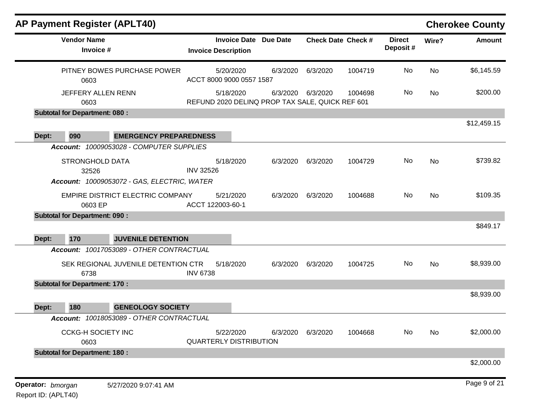| <b>AP Payment Register (APLT40)</b>                                            |                                                              |          |                           |         |                           |       | <b>Cherokee County</b> |
|--------------------------------------------------------------------------------|--------------------------------------------------------------|----------|---------------------------|---------|---------------------------|-------|------------------------|
| <b>Vendor Name</b><br>Invoice #                                                | <b>Invoice Date</b><br><b>Invoice Description</b>            | Due Date | <b>Check Date Check #</b> |         | <b>Direct</b><br>Deposit# | Wire? | <b>Amount</b>          |
| PITNEY BOWES PURCHASE POWER<br>0603                                            | 5/20/2020<br>ACCT 8000 9000 0557 1587                        | 6/3/2020 | 6/3/2020                  | 1004719 | No                        | No    | \$6,145.59             |
| JEFFERY ALLEN RENN<br>0603                                                     | 5/18/2020<br>REFUND 2020 DELINQ PROP TAX SALE, QUICK REF 601 |          | 6/3/2020 6/3/2020         | 1004698 | No                        | No    | \$200.00               |
| <b>Subtotal for Department: 080:</b>                                           |                                                              |          |                           |         |                           |       |                        |
| 090<br>Dept:<br><b>EMERGENCY PREPAREDNESS</b>                                  |                                                              |          |                           |         |                           |       | \$12,459.15            |
| Account: 10009053028 - COMPUTER SUPPLIES                                       |                                                              |          |                           |         |                           |       |                        |
| <b>STRONGHOLD DATA</b><br>32526<br>Account: 10009053072 - GAS, ELECTRIC, WATER | 5/18/2020<br><b>INV 32526</b>                                | 6/3/2020 | 6/3/2020                  | 1004729 | No                        | No    | \$739.82               |
| EMPIRE DISTRICT ELECTRIC COMPANY<br>0603 EP                                    | 5/21/2020<br>ACCT 122003-60-1                                | 6/3/2020 | 6/3/2020                  | 1004688 | No                        | No    | \$109.35               |
| <b>Subtotal for Department: 090:</b>                                           |                                                              |          |                           |         |                           |       |                        |
| 170<br><b>JUVENILE DETENTION</b><br>Dept:                                      |                                                              |          |                           |         |                           |       | \$849.17               |
| Account: 10017053089 - OTHER CONTRACTUAL                                       |                                                              |          |                           |         |                           |       |                        |
| SEK REGIONAL JUVENILE DETENTION CTR<br>6738                                    | 5/18/2020<br><b>INV 6738</b>                                 | 6/3/2020 | 6/3/2020                  | 1004725 | No                        | No    | \$8,939.00             |
| <b>Subtotal for Department: 170:</b>                                           |                                                              |          |                           |         |                           |       |                        |
| 180<br><b>GENEOLOGY SOCIETY</b><br>Dept:                                       |                                                              |          |                           |         |                           |       | \$8,939.00             |
| Account: 10018053089 - OTHER CONTRACTUAL                                       |                                                              |          |                           |         |                           |       |                        |
| <b>CCKG-H SOCIETY INC</b><br>0603                                              | 5/22/2020<br><b>QUARTERLY DISTRIBUTION</b>                   | 6/3/2020 | 6/3/2020                  | 1004668 | No                        | No    | \$2,000.00             |
| <b>Subtotal for Department: 180:</b>                                           |                                                              |          |                           |         |                           |       |                        |
|                                                                                |                                                              |          |                           |         |                           |       | \$2,000.00             |
| Operator: bmorgan<br>5/27/2020 9:07:41 AM                                      |                                                              |          |                           |         |                           |       | Page 9 of 21           |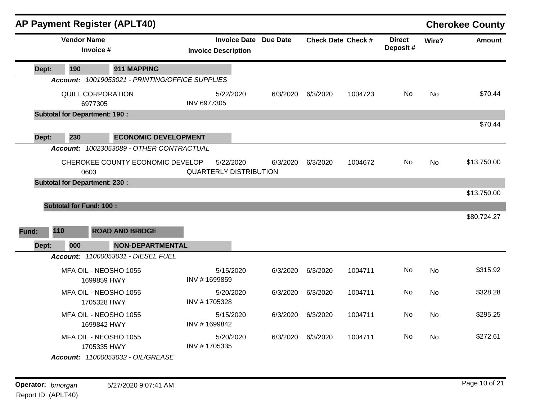|       |                                | <b>AP Payment Register (APLT40)</b>             |                                            |                              |          |                           |                           |           | <b>Cherokee County</b> |
|-------|--------------------------------|-------------------------------------------------|--------------------------------------------|------------------------------|----------|---------------------------|---------------------------|-----------|------------------------|
|       | <b>Vendor Name</b>             | Invoice #                                       | <b>Invoice Description</b>                 | <b>Invoice Date Due Date</b> |          | <b>Check Date Check #</b> | <b>Direct</b><br>Deposit# | Wire?     | <b>Amount</b>          |
| Dept: | 190                            | 911 MAPPING                                     |                                            |                              |          |                           |                           |           |                        |
|       |                                | Account: 10019053021 - PRINTING/OFFICE SUPPLIES |                                            |                              |          |                           |                           |           |                        |
|       |                                | QUILL CORPORATION<br>6977305                    | 5/22/2020<br><b>INV 6977305</b>            | 6/3/2020                     | 6/3/2020 | 1004723                   | No.                       | <b>No</b> | \$70.44                |
|       |                                | <b>Subtotal for Department: 190:</b>            |                                            |                              |          |                           |                           |           |                        |
| Dept: | 230                            | <b>ECONOMIC DEVELOPMENT</b>                     |                                            |                              |          |                           |                           |           | \$70.44                |
|       |                                | Account: 10023053089 - OTHER CONTRACTUAL        |                                            |                              |          |                           |                           |           |                        |
|       | 0603                           | CHEROKEE COUNTY ECONOMIC DEVELOP                | 5/22/2020<br><b>QUARTERLY DISTRIBUTION</b> | 6/3/2020                     | 6/3/2020 | 1004672                   | No                        | <b>No</b> | \$13,750.00            |
|       |                                | <b>Subtotal for Department: 230:</b>            |                                            |                              |          |                           |                           |           |                        |
|       |                                |                                                 |                                            |                              |          |                           |                           |           | \$13,750.00            |
|       | <b>Subtotal for Fund: 100:</b> |                                                 |                                            |                              |          |                           |                           |           |                        |
| Fund: | 110                            | <b>ROAD AND BRIDGE</b>                          |                                            |                              |          |                           |                           |           | \$80,724.27            |
| Dept: | 000                            | <b>NON-DEPARTMENTAL</b>                         |                                            |                              |          |                           |                           |           |                        |
|       |                                | Account: 11000053031 - DIESEL FUEL              |                                            |                              |          |                           |                           |           |                        |
|       |                                | MFA OIL - NEOSHO 1055<br>1699859 HWY            | 5/15/2020<br>INV #1699859                  | 6/3/2020                     | 6/3/2020 | 1004711                   | <b>No</b>                 | <b>No</b> | \$315.92               |
|       |                                | MFA OIL - NEOSHO 1055<br>1705328 HWY            | 5/20/2020<br>INV #1705328                  | 6/3/2020                     | 6/3/2020 | 1004711                   | No.                       | <b>No</b> | \$328.28               |
|       |                                | MFA OIL - NEOSHO 1055<br>1699842 HWY            | 5/15/2020<br>INV #1699842                  | 6/3/2020                     | 6/3/2020 | 1004711                   | No                        | No        | \$295.25               |
|       |                                | MFA OIL - NEOSHO 1055<br>1705335 HWY            | 5/20/2020<br>INV #1705335                  | 6/3/2020                     | 6/3/2020 | 1004711                   | No                        | No.       | \$272.61               |
|       |                                | Account: 11000053032 - OIL/GREASE               |                                            |                              |          |                           |                           |           |                        |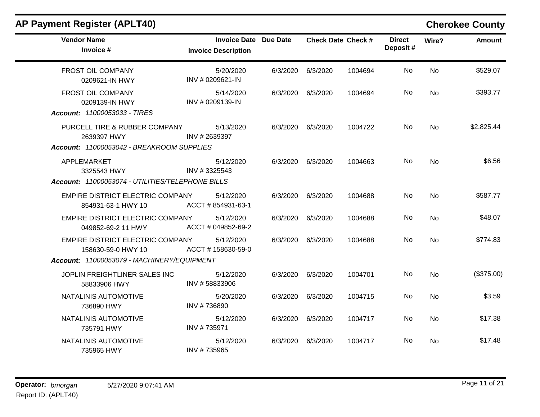| <b>AP Payment Register (APLT40)</b>                                                                  |                                                            |          |          |                           |                           |           | <b>Cherokee County</b> |
|------------------------------------------------------------------------------------------------------|------------------------------------------------------------|----------|----------|---------------------------|---------------------------|-----------|------------------------|
| <b>Vendor Name</b><br>Invoice #                                                                      | <b>Invoice Date Due Date</b><br><b>Invoice Description</b> |          |          | <b>Check Date Check #</b> | <b>Direct</b><br>Deposit# | Wire?     | <b>Amount</b>          |
| FROST OIL COMPANY<br>0209621-IN HWY                                                                  | 5/20/2020<br>INV # 0209621-IN                              | 6/3/2020 | 6/3/2020 | 1004694                   | No                        | No        | \$529.07               |
| FROST OIL COMPANY<br>0209139-IN HWY<br>Account: 11000053033 - TIRES                                  | 5/14/2020<br>INV # 0209139-IN                              | 6/3/2020 | 6/3/2020 | 1004694                   | No                        | <b>No</b> | \$393.77               |
| PURCELL TIRE & RUBBER COMPANY<br>2639397 HWY<br>Account: 11000053042 - BREAKROOM SUPPLIES            | 5/13/2020<br>INV #2639397                                  | 6/3/2020 | 6/3/2020 | 1004722                   | <b>No</b>                 | <b>No</b> | \$2,825.44             |
| APPLEMARKET<br>3325543 HWY<br>Account: 11000053074 - UTILITIES/TELEPHONE BILLS                       | 5/12/2020<br>INV #3325543                                  | 6/3/2020 | 6/3/2020 | 1004663                   | No.                       | No        | \$6.56                 |
| EMPIRE DISTRICT ELECTRIC COMPANY<br>854931-63-1 HWY 10                                               | 5/12/2020<br>ACCT # 854931-63-1                            | 6/3/2020 | 6/3/2020 | 1004688                   | No.                       | <b>No</b> | \$587.77               |
| EMPIRE DISTRICT ELECTRIC COMPANY<br>049852-69-2 11 HWY                                               | 5/12/2020<br>ACCT # 049852-69-2                            | 6/3/2020 | 6/3/2020 | 1004688                   | No                        | <b>No</b> | \$48.07                |
| EMPIRE DISTRICT ELECTRIC COMPANY<br>158630-59-0 HWY 10<br>Account: 11000053079 - MACHINERY/EQUIPMENT | 5/12/2020<br>ACCT #158630-59-0                             | 6/3/2020 | 6/3/2020 | 1004688                   | <b>No</b>                 | <b>No</b> | \$774.83               |
| JOPLIN FREIGHTLINER SALES INC<br>58833906 HWY                                                        | 5/12/2020<br>INV #58833906                                 | 6/3/2020 | 6/3/2020 | 1004701                   | No                        | <b>No</b> | (\$375.00)             |
| NATALINIS AUTOMOTIVE<br>736890 HWY                                                                   | 5/20/2020<br>INV #736890                                   | 6/3/2020 | 6/3/2020 | 1004715                   | No                        | <b>No</b> | \$3.59                 |
| NATALINIS AUTOMOTIVE<br>735791 HWY                                                                   | 5/12/2020<br>INV #735971                                   | 6/3/2020 | 6/3/2020 | 1004717                   | No.                       | <b>No</b> | \$17.38                |
| NATALINIS AUTOMOTIVE<br>735965 HWY                                                                   | 5/12/2020<br>INV #735965                                   | 6/3/2020 | 6/3/2020 | 1004717                   | No                        | <b>No</b> | \$17.48                |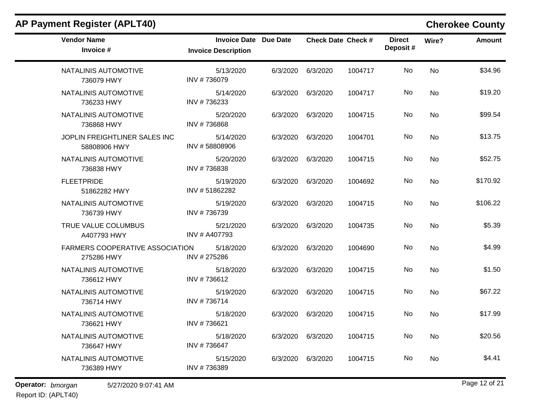|                            |                                 |                              |                      |                           |           | <b>Cherokee County</b> |
|----------------------------|---------------------------------|------------------------------|----------------------|---------------------------|-----------|------------------------|
| <b>Invoice Description</b> |                                 |                              |                      | <b>Direct</b><br>Deposit# | Wire?     | <b>Amount</b>          |
| 5/13/2020<br>INV #736079   | 6/3/2020                        | 6/3/2020                     | 1004717              | No                        | No        | \$34.96                |
| 5/14/2020<br>INV #736233   | 6/3/2020                        | 6/3/2020                     | 1004717              | No                        | No        | \$19.20                |
| 5/20/2020<br>INV #736868   | 6/3/2020                        | 6/3/2020                     | 1004715              | No                        | No        | \$99.54                |
| 5/14/2020<br>INV #58808906 | 6/3/2020                        | 6/3/2020                     | 1004701              | No                        | No        | \$13.75                |
| 5/20/2020<br>INV #736838   | 6/3/2020                        | 6/3/2020                     | 1004715              | No                        | <b>No</b> | \$52.75                |
| 5/19/2020<br>INV #51862282 | 6/3/2020                        | 6/3/2020                     | 1004692              | No                        | No        | \$170.92               |
| 5/19/2020<br>INV #736739   |                                 | 6/3/2020                     | 1004715              | No                        | No        | \$106.22               |
| 5/21/2020<br>INV # A407793 | 6/3/2020                        | 6/3/2020                     | 1004735              | No                        | No        | \$5.39                 |
| 5/18/2020<br>INV # 275286  | 6/3/2020                        | 6/3/2020                     | 1004690              | No                        | <b>No</b> | \$4.99                 |
| 5/18/2020<br>INV #736612   | 6/3/2020                        | 6/3/2020                     | 1004715              | No                        | No        | \$1.50                 |
| 5/19/2020<br>INV #736714   | 6/3/2020                        | 6/3/2020                     | 1004715              | No                        | No        | \$67.22                |
| 5/18/2020<br>INV #736621   | 6/3/2020                        | 6/3/2020                     | 1004715              | No                        | No        | \$17.99                |
| 5/18/2020<br>INV #736647   |                                 | 6/3/2020                     | 1004715              | No                        | <b>No</b> | \$20.56                |
| 5/15/2020<br>INV #736389   | 6/3/2020                        | 6/3/2020                     | 1004715              | No                        | No        | \$4.41                 |
|                            | FARMERS COOPERATIVE ASSOCIATION | <b>Invoice Date Due Date</b> | 6/3/2020<br>6/3/2020 | <b>Check Date Check #</b> |           |                        |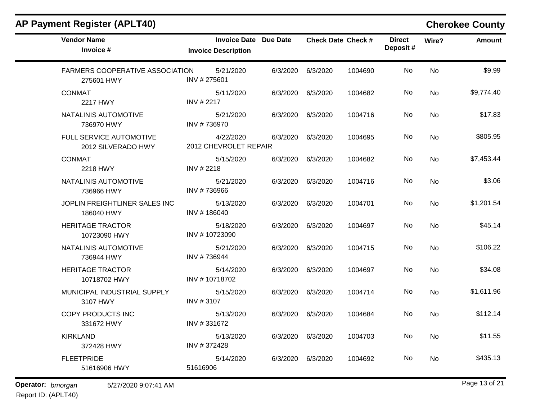| <b>AP Payment Register (APLT40)</b>                  |                                                            |          |                           |         |                           |           | <b>Cherokee County</b> |
|------------------------------------------------------|------------------------------------------------------------|----------|---------------------------|---------|---------------------------|-----------|------------------------|
| <b>Vendor Name</b><br>Invoice #                      | <b>Invoice Date Due Date</b><br><b>Invoice Description</b> |          | <b>Check Date Check #</b> |         | <b>Direct</b><br>Deposit# | Wire?     | <b>Amount</b>          |
| <b>FARMERS COOPERATIVE ASSOCIATION</b><br>275601 HWY | 5/21/2020<br>INV #275601                                   | 6/3/2020 | 6/3/2020                  | 1004690 | No                        | No        | \$9.99                 |
| <b>CONMAT</b><br>2217 HWY                            | 5/11/2020<br>INV # 2217                                    | 6/3/2020 | 6/3/2020                  | 1004682 | No                        | No        | \$9,774.40             |
| NATALINIS AUTOMOTIVE<br>736970 HWY                   | 5/21/2020<br>INV #736970                                   | 6/3/2020 | 6/3/2020                  | 1004716 | No                        | No        | \$17.83                |
| FULL SERVICE AUTOMOTIVE<br>2012 SILVERADO HWY        | 4/22/2020<br>2012 CHEVROLET REPAIR                         | 6/3/2020 | 6/3/2020                  | 1004695 | No                        | No        | \$805.95               |
| <b>CONMAT</b><br>2218 HWY                            | 5/15/2020<br>INV #2218                                     | 6/3/2020 | 6/3/2020                  | 1004682 | No                        | No        | \$7,453.44             |
| NATALINIS AUTOMOTIVE<br>736966 HWY                   | 5/21/2020<br>INV #736966                                   | 6/3/2020 | 6/3/2020                  | 1004716 | No                        | No        | \$3.06                 |
| JOPLIN FREIGHTLINER SALES INC<br>186040 HWY          | 5/13/2020<br>INV #186040                                   | 6/3/2020 | 6/3/2020                  | 1004701 | No                        | No        | \$1,201.54             |
| <b>HERITAGE TRACTOR</b><br>10723090 HWY              | 5/18/2020<br>INV #10723090                                 | 6/3/2020 | 6/3/2020                  | 1004697 | No                        | No        | \$45.14                |
| NATALINIS AUTOMOTIVE<br>736944 HWY                   | 5/21/2020<br>INV #736944                                   | 6/3/2020 | 6/3/2020                  | 1004715 | No                        | No        | \$106.22               |
| <b>HERITAGE TRACTOR</b><br>10718702 HWY              | 5/14/2020<br>INV #10718702                                 | 6/3/2020 | 6/3/2020                  | 1004697 | No                        | No        | \$34.08                |
| MUNICIPAL INDUSTRIAL SUPPLY<br>3107 HWY              | 5/15/2020<br>INV #3107                                     | 6/3/2020 | 6/3/2020                  | 1004714 | No                        | No        | \$1,611.96             |
| COPY PRODUCTS INC<br>331672 HWY                      | 5/13/2020<br>INV #331672                                   | 6/3/2020 | 6/3/2020                  | 1004684 | No                        | <b>No</b> | \$112.14               |
| <b>KIRKLAND</b><br>372428 HWY                        | 5/13/2020<br>INV #372428                                   |          | 6/3/2020 6/3/2020         | 1004703 | No                        | <b>No</b> | \$11.55                |
| <b>FLEETPRIDE</b><br>51616906 HWY                    | 5/14/2020<br>51616906                                      | 6/3/2020 | 6/3/2020                  | 1004692 | No                        | No        | \$435.13               |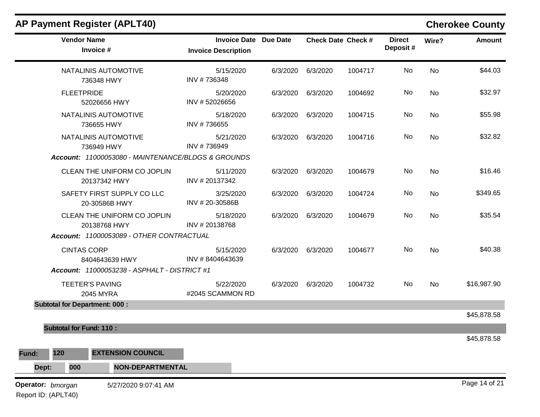|                     | <b>AP Payment Register (APLT40)</b>                 |                                                            |          |          |                           |                           |           | <b>Cherokee County</b> |
|---------------------|-----------------------------------------------------|------------------------------------------------------------|----------|----------|---------------------------|---------------------------|-----------|------------------------|
|                     | <b>Vendor Name</b><br>Invoice #                     | <b>Invoice Date Due Date</b><br><b>Invoice Description</b> |          |          | <b>Check Date Check #</b> | <b>Direct</b><br>Deposit# | Wire?     | <b>Amount</b>          |
|                     | NATALINIS AUTOMOTIVE<br>736348 HWY                  | 5/15/2020<br>INV #736348                                   | 6/3/2020 | 6/3/2020 | 1004717                   | No                        | No        | \$44.03                |
|                     | <b>FLEETPRIDE</b><br>52026656 HWY                   | 5/20/2020<br>INV #52026656                                 | 6/3/2020 | 6/3/2020 | 1004692                   | No                        | No        | \$32.97                |
|                     | NATALINIS AUTOMOTIVE<br>736655 HWY                  | 5/18/2020<br>INV #736655                                   | 6/3/2020 | 6/3/2020 | 1004715                   | No                        | No        | \$55.98                |
|                     | NATALINIS AUTOMOTIVE<br>736949 HWY                  | 5/21/2020<br>INV #736949                                   | 6/3/2020 | 6/3/2020 | 1004716                   | No                        | No        | \$32.82                |
|                     | Account: 11000053080 - MAINTENANCE/BLDGS & GROUNDS  |                                                            |          |          |                           |                           |           |                        |
|                     | CLEAN THE UNIFORM CO JOPLIN<br>20137342 HWY         | 5/11/2020<br>INV #20137342                                 | 6/3/2020 | 6/3/2020 | 1004679                   | No                        | No        | \$16.46                |
|                     | SAFETY FIRST SUPPLY CO LLC<br>20-30586B HWY         | 3/25/2020<br>INV #20-30586B                                | 6/3/2020 | 6/3/2020 | 1004724                   | No                        | No        | \$349.65               |
|                     | CLEAN THE UNIFORM CO JOPLIN<br>20138768 HWY         | 5/18/2020<br>INV #20138768                                 | 6/3/2020 | 6/3/2020 | 1004679                   | No                        | No        | \$35.54                |
|                     | Account: 11000053089 - OTHER CONTRACTUAL            |                                                            |          |          |                           |                           |           |                        |
|                     | <b>CINTAS CORP</b><br>8404643639 HWY                | 5/15/2020<br>INV #8404643639                               | 6/3/2020 | 6/3/2020 | 1004677                   | No                        | <b>No</b> | \$40.38                |
|                     | <b>Account: 11000053238 - ASPHALT - DISTRICT #1</b> |                                                            |          |          |                           |                           |           |                        |
|                     | <b>TEETER'S PAVING</b><br>2045 MYRA                 | 5/22/2020<br>#2045 SCAMMON RD                              | 6/3/2020 | 6/3/2020 | 1004732                   | No                        | No        | \$16,987.90            |
|                     | <b>Subtotal for Department: 000:</b>                |                                                            |          |          |                           |                           |           |                        |
|                     |                                                     |                                                            |          |          |                           |                           |           | \$45,878.58            |
|                     | <b>Subtotal for Fund: 110:</b>                      |                                                            |          |          |                           |                           |           |                        |
| 120<br>Fund:        | <b>EXTENSION COUNCIL</b>                            |                                                            |          |          |                           |                           |           | \$45,878.58            |
| Dept:               | <b>NON-DEPARTMENTAL</b><br>000                      |                                                            |          |          |                           |                           |           |                        |
| Operator: bmorgan   | 5/27/2020 9:07:41 AM                                |                                                            |          |          |                           |                           |           | Page 14 of 21          |
| Report ID: (APLT40) |                                                     |                                                            |          |          |                           |                           |           |                        |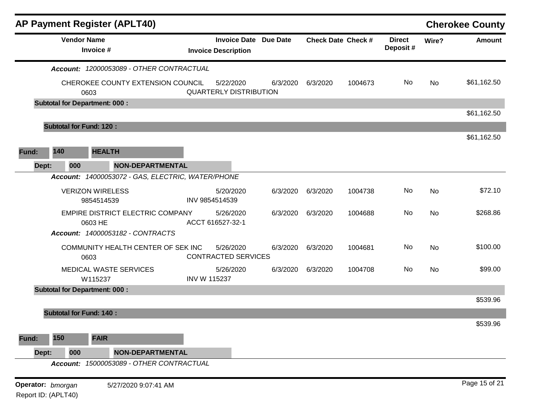|                   | <b>AP Payment Register (APLT40)</b>               |                     |                                                            |          |                           |         |                           |           | <b>Cherokee County</b> |
|-------------------|---------------------------------------------------|---------------------|------------------------------------------------------------|----------|---------------------------|---------|---------------------------|-----------|------------------------|
|                   | <b>Vendor Name</b><br>Invoice #                   |                     | <b>Invoice Date Due Date</b><br><b>Invoice Description</b> |          | <b>Check Date Check #</b> |         | <b>Direct</b><br>Deposit# | Wire?     | <b>Amount</b>          |
|                   | Account: 12000053089 - OTHER CONTRACTUAL          |                     |                                                            |          |                           |         |                           |           |                        |
|                   | CHEROKEE COUNTY EXTENSION COUNCIL<br>0603         |                     | 5/22/2020<br><b>QUARTERLY DISTRIBUTION</b>                 | 6/3/2020 | 6/3/2020                  | 1004673 | No                        | <b>No</b> | \$61,162.50            |
|                   | <b>Subtotal for Department: 000:</b>              |                     |                                                            |          |                           |         |                           |           |                        |
|                   |                                                   |                     |                                                            |          |                           |         |                           |           | \$61,162.50            |
|                   | <b>Subtotal for Fund: 120:</b>                    |                     |                                                            |          |                           |         |                           |           |                        |
|                   |                                                   |                     |                                                            |          |                           |         |                           |           | \$61,162.50            |
| 140<br>Fund:      | <b>HEALTH</b>                                     |                     |                                                            |          |                           |         |                           |           |                        |
| 000<br>Dept:      | <b>NON-DEPARTMENTAL</b>                           |                     |                                                            |          |                           |         |                           |           |                        |
|                   | Account: 14000053072 - GAS, ELECTRIC, WATER/PHONE |                     |                                                            |          |                           |         |                           |           |                        |
|                   | <b>VERIZON WIRELESS</b><br>9854514539             |                     | 5/20/2020<br>INV 9854514539                                | 6/3/2020 | 6/3/2020                  | 1004738 | No                        | <b>No</b> | \$72.10                |
|                   | EMPIRE DISTRICT ELECTRIC COMPANY<br>0603 HE       |                     | 5/26/2020<br>ACCT 616527-32-1                              | 6/3/2020 | 6/3/2020                  | 1004688 | No                        | No        | \$268.86               |
|                   | Account: 14000053182 - CONTRACTS                  |                     |                                                            |          |                           |         |                           |           |                        |
|                   | COMMUNITY HEALTH CENTER OF SEK INC<br>0603        |                     | 5/26/2020<br><b>CONTRACTED SERVICES</b>                    | 6/3/2020 | 6/3/2020                  | 1004681 | No                        | No        | \$100.00               |
|                   | MEDICAL WASTE SERVICES<br>W115237                 | <b>INV W 115237</b> | 5/26/2020                                                  | 6/3/2020 | 6/3/2020                  | 1004708 | No                        | No        | \$99.00                |
|                   | <b>Subtotal for Department: 000:</b>              |                     |                                                            |          |                           |         |                           |           |                        |
|                   |                                                   |                     |                                                            |          |                           |         |                           |           | \$539.96               |
|                   | <b>Subtotal for Fund: 140:</b>                    |                     |                                                            |          |                           |         |                           |           |                        |
|                   |                                                   |                     |                                                            |          |                           |         |                           |           | \$539.96               |
| 150<br>Fund:      | <b>FAIR</b>                                       |                     |                                                            |          |                           |         |                           |           |                        |
| Dept:<br>000      | <b>NON-DEPARTMENTAL</b>                           |                     |                                                            |          |                           |         |                           |           |                        |
|                   | Account: 15000053089 - OTHER CONTRACTUAL          |                     |                                                            |          |                           |         |                           |           |                        |
| Operator: bmorgan | 5/27/2020 9:07:41 AM                              |                     |                                                            |          |                           |         |                           |           | Page 15 of 21          |
|                   |                                                   |                     |                                                            |          |                           |         |                           |           |                        |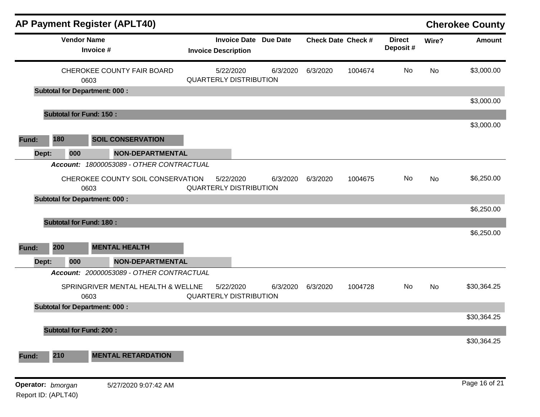|       |                                      |                                 | <b>AP Payment Register (APLT40)</b>      |                               |                              |          |          |                           |                           |       | <b>Cherokee County</b> |
|-------|--------------------------------------|---------------------------------|------------------------------------------|-------------------------------|------------------------------|----------|----------|---------------------------|---------------------------|-------|------------------------|
|       |                                      | <b>Vendor Name</b><br>Invoice # |                                          | <b>Invoice Description</b>    | <b>Invoice Date Due Date</b> |          |          | <b>Check Date Check #</b> | <b>Direct</b><br>Deposit# | Wire? | <b>Amount</b>          |
|       |                                      | 0603                            | CHEROKEE COUNTY FAIR BOARD               | <b>QUARTERLY DISTRIBUTION</b> | 5/22/2020                    | 6/3/2020 | 6/3/2020 | 1004674                   | No                        | No    | \$3,000.00             |
|       | <b>Subtotal for Department: 000:</b> |                                 |                                          |                               |                              |          |          |                           |                           |       |                        |
|       |                                      |                                 |                                          |                               |                              |          |          |                           |                           |       | \$3,000.00             |
|       | <b>Subtotal for Fund: 150:</b>       |                                 |                                          |                               |                              |          |          |                           |                           |       | \$3,000.00             |
| Fund: | 180                                  |                                 | <b>SOIL CONSERVATION</b>                 |                               |                              |          |          |                           |                           |       |                        |
| Dept: | 000                                  |                                 | NON-DEPARTMENTAL                         |                               |                              |          |          |                           |                           |       |                        |
|       | <b>Account:</b>                      |                                 | 18000053089 - OTHER CONTRACTUAL          |                               |                              |          |          |                           |                           |       |                        |
|       |                                      | 0603                            | CHEROKEE COUNTY SOIL CONSERVATION        | <b>QUARTERLY DISTRIBUTION</b> | 5/22/2020                    | 6/3/2020 | 6/3/2020 | 1004675                   | No                        | No    | \$6,250.00             |
|       | <b>Subtotal for Department: 000:</b> |                                 |                                          |                               |                              |          |          |                           |                           |       |                        |
|       |                                      |                                 |                                          |                               |                              |          |          |                           |                           |       | \$6,250.00             |
|       | <b>Subtotal for Fund: 180:</b>       |                                 |                                          |                               |                              |          |          |                           |                           |       |                        |
|       |                                      |                                 |                                          |                               |                              |          |          |                           |                           |       | \$6,250.00             |
| Fund: | 200                                  |                                 | <b>MENTAL HEALTH</b>                     |                               |                              |          |          |                           |                           |       |                        |
| Dept: | 000                                  |                                 | <b>NON-DEPARTMENTAL</b>                  |                               |                              |          |          |                           |                           |       |                        |
|       |                                      |                                 | Account: 20000053089 - OTHER CONTRACTUAL |                               |                              |          |          |                           |                           |       |                        |
|       |                                      | 0603                            | SPRINGRIVER MENTAL HEALTH & WELLNE       | <b>QUARTERLY DISTRIBUTION</b> | 5/22/2020                    | 6/3/2020 | 6/3/2020 | 1004728                   | No                        | No    | \$30,364.25            |
|       | <b>Subtotal for Department: 000:</b> |                                 |                                          |                               |                              |          |          |                           |                           |       |                        |
|       |                                      |                                 |                                          |                               |                              |          |          |                           |                           |       | \$30,364.25            |
|       | <b>Subtotal for Fund: 200:</b>       |                                 |                                          |                               |                              |          |          |                           |                           |       |                        |
|       |                                      |                                 |                                          |                               |                              |          |          |                           |                           |       | \$30,364.25            |
| Fund: | 210                                  |                                 | <b>MENTAL RETARDATION</b>                |                               |                              |          |          |                           |                           |       |                        |
|       | Operator: bmorgan                    |                                 | 5/27/2020 9:07:42 AM                     |                               |                              |          |          |                           |                           |       | Page 16 of 21          |
|       | Report ID: (APLT40)                  |                                 |                                          |                               |                              |          |          |                           |                           |       |                        |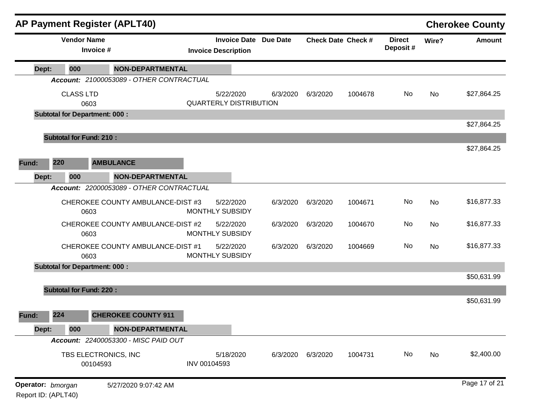|       |                                      | <b>AP Payment Register (APLT40)</b>      |              |                                                            |          |                   |                           |                           |           | <b>Cherokee County</b> |
|-------|--------------------------------------|------------------------------------------|--------------|------------------------------------------------------------|----------|-------------------|---------------------------|---------------------------|-----------|------------------------|
|       | <b>Vendor Name</b>                   | Invoice #                                |              | <b>Invoice Date Due Date</b><br><b>Invoice Description</b> |          |                   | <b>Check Date Check #</b> | <b>Direct</b><br>Deposit# | Wire?     | <b>Amount</b>          |
| Dept: | 000                                  | <b>NON-DEPARTMENTAL</b>                  |              |                                                            |          |                   |                           |                           |           |                        |
|       |                                      | Account: 21000053089 - OTHER CONTRACTUAL |              |                                                            |          |                   |                           |                           |           |                        |
|       | <b>CLASS LTD</b><br>0603             |                                          |              | 5/22/2020<br><b>QUARTERLY DISTRIBUTION</b>                 | 6/3/2020 | 6/3/2020          | 1004678                   | No                        | <b>No</b> | \$27,864.25            |
|       | <b>Subtotal for Department: 000:</b> |                                          |              |                                                            |          |                   |                           |                           |           |                        |
|       |                                      |                                          |              |                                                            |          |                   |                           |                           |           | \$27,864.25            |
|       | <b>Subtotal for Fund: 210:</b>       |                                          |              |                                                            |          |                   |                           |                           |           |                        |
|       |                                      |                                          |              |                                                            |          |                   |                           |                           |           | \$27,864.25            |
| Fund: | 220                                  | <b>AMBULANCE</b>                         |              |                                                            |          |                   |                           |                           |           |                        |
| Dept: | 000                                  | <b>NON-DEPARTMENTAL</b>                  |              |                                                            |          |                   |                           |                           |           |                        |
|       |                                      | Account: 22000053089 - OTHER CONTRACTUAL |              |                                                            |          |                   |                           |                           |           |                        |
|       | 0603                                 | CHEROKEE COUNTY AMBULANCE-DIST #3        |              | 5/22/2020<br><b>MONTHLY SUBSIDY</b>                        | 6/3/2020 | 6/3/2020          | 1004671                   | No                        | <b>No</b> | \$16,877.33            |
|       | 0603                                 | CHEROKEE COUNTY AMBULANCE-DIST #2        |              | 5/22/2020<br><b>MONTHLY SUBSIDY</b>                        | 6/3/2020 | 6/3/2020          | 1004670                   | No                        | No        | \$16,877.33            |
|       | 0603                                 | CHEROKEE COUNTY AMBULANCE-DIST #1        |              | 5/22/2020<br>MONTHLY SUBSIDY                               | 6/3/2020 | 6/3/2020          | 1004669                   | No                        | <b>No</b> | \$16,877.33            |
|       | <b>Subtotal for Department: 000:</b> |                                          |              |                                                            |          |                   |                           |                           |           |                        |
|       |                                      |                                          |              |                                                            |          |                   |                           |                           |           | \$50,631.99            |
|       | <b>Subtotal for Fund: 220:</b>       |                                          |              |                                                            |          |                   |                           |                           |           |                        |
|       |                                      |                                          |              |                                                            |          |                   |                           |                           |           | \$50,631.99            |
| Fund: | 224                                  | <b>CHEROKEE COUNTY 911</b>               |              |                                                            |          |                   |                           |                           |           |                        |
| Dept: | 000                                  | <b>NON-DEPARTMENTAL</b>                  |              |                                                            |          |                   |                           |                           |           |                        |
|       |                                      | Account: 22400053300 - MISC PAID OUT     |              |                                                            |          |                   |                           |                           |           |                        |
|       |                                      | TBS ELECTRONICS, INC<br>00104593         | INV 00104593 | 5/18/2020                                                  |          | 6/3/2020 6/3/2020 | 1004731                   | No                        | No        | \$2,400.00             |
|       | Operator: bmorgan                    | 5/27/2020 9:07:42 AM                     |              |                                                            |          |                   |                           |                           |           | Page 17 of 21          |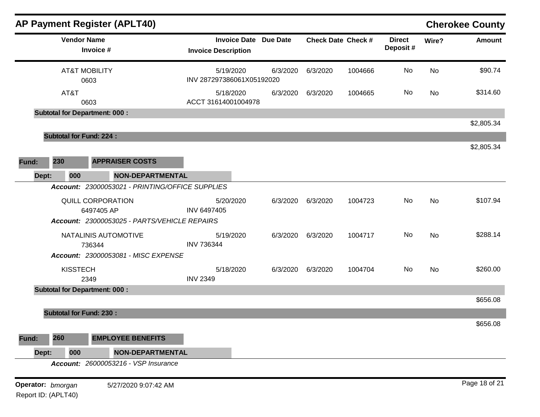|                   | AP Payment Register (APLT40)                                                    |                                                            |          |          |                           |                           |           | <b>Cherokee County</b> |
|-------------------|---------------------------------------------------------------------------------|------------------------------------------------------------|----------|----------|---------------------------|---------------------------|-----------|------------------------|
|                   | <b>Vendor Name</b><br>Invoice #                                                 | <b>Invoice Date Due Date</b><br><b>Invoice Description</b> |          |          | <b>Check Date Check #</b> | <b>Direct</b><br>Deposit# | Wire?     | <b>Amount</b>          |
|                   | <b>AT&amp;T MOBILITY</b><br>0603                                                | 5/19/2020<br>INV 287297386061X05192020                     | 6/3/2020 | 6/3/2020 | 1004666                   | No                        | No        | \$90.74                |
| AT&T              | 0603                                                                            | 5/18/2020<br>ACCT 31614001004978                           | 6/3/2020 | 6/3/2020 | 1004665                   | No                        | No        | \$314.60               |
|                   | <b>Subtotal for Department: 000:</b>                                            |                                                            |          |          |                           |                           |           |                        |
|                   |                                                                                 |                                                            |          |          |                           |                           |           | \$2,805.34             |
|                   | <b>Subtotal for Fund: 224:</b>                                                  |                                                            |          |          |                           |                           |           | \$2,805.34             |
| 230<br>Fund:      | <b>APPRAISER COSTS</b>                                                          |                                                            |          |          |                           |                           |           |                        |
| Dept:<br>000      | NON-DEPARTMENTAL                                                                |                                                            |          |          |                           |                           |           |                        |
|                   | Account: 23000053021 - PRINTING/OFFICE SUPPLIES                                 |                                                            |          |          |                           |                           |           |                        |
|                   | QUILL CORPORATION<br>6497405 AP<br>Account: 23000053025 - PARTS/VEHICLE REPAIRS | 5/20/2020<br>INV 6497405                                   | 6/3/2020 | 6/3/2020 | 1004723                   | No                        | No        | \$107.94               |
|                   | NATALINIS AUTOMOTIVE<br>736344                                                  | 5/19/2020<br><b>INV 736344</b>                             | 6/3/2020 | 6/3/2020 | 1004717                   | No                        | <b>No</b> | \$288.14               |
|                   | Account: 23000053081 - MISC EXPENSE                                             |                                                            |          |          |                           |                           |           |                        |
| <b>KISSTECH</b>   | 2349                                                                            | 5/18/2020<br><b>INV 2349</b>                               | 6/3/2020 | 6/3/2020 | 1004704                   | No                        | No        | \$260.00               |
|                   | <b>Subtotal for Department: 000:</b>                                            |                                                            |          |          |                           |                           |           |                        |
|                   | <b>Subtotal for Fund: 230:</b>                                                  |                                                            |          |          |                           |                           |           | \$656.08               |
|                   |                                                                                 |                                                            |          |          |                           |                           |           | \$656.08               |
| 260<br>Fund:      | <b>EMPLOYEE BENEFITS</b>                                                        |                                                            |          |          |                           |                           |           |                        |
| 000<br>Dept:      | <b>NON-DEPARTMENTAL</b>                                                         |                                                            |          |          |                           |                           |           |                        |
|                   | <b>Account: 26000053216 - VSP Insurance</b>                                     |                                                            |          |          |                           |                           |           |                        |
| Operator: bmorgan | 5/27/2020 9:07:42 AM                                                            |                                                            |          |          |                           |                           |           | Page 18 of 21          |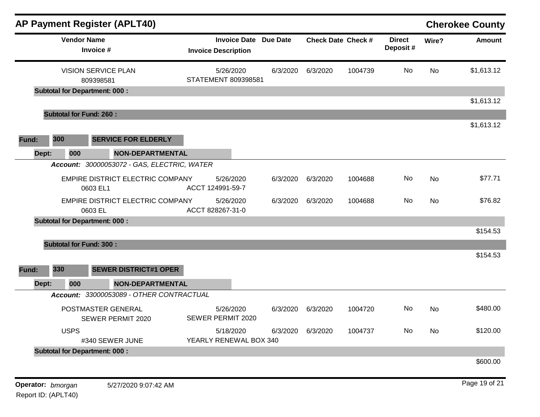| <b>AP Payment Register (APLT40)</b>          |                                                            |          |          |                           |                           |           | <b>Cherokee County</b> |
|----------------------------------------------|------------------------------------------------------------|----------|----------|---------------------------|---------------------------|-----------|------------------------|
| <b>Vendor Name</b><br>Invoice #              | <b>Invoice Date Due Date</b><br><b>Invoice Description</b> |          |          | <b>Check Date Check #</b> | <b>Direct</b><br>Deposit# | Wire?     | <b>Amount</b>          |
| <b>VISION SERVICE PLAN</b><br>809398581      | 5/26/2020<br>STATEMENT 809398581                           | 6/3/2020 | 6/3/2020 | 1004739                   | No                        | <b>No</b> | \$1,613.12             |
| <b>Subtotal for Department: 000:</b>         |                                                            |          |          |                           |                           |           |                        |
|                                              |                                                            |          |          |                           |                           |           | \$1,613.12             |
| <b>Subtotal for Fund: 260:</b>               |                                                            |          |          |                           |                           |           | \$1,613.12             |
| 300<br><b>SERVICE FOR ELDERLY</b><br>Fund:   |                                                            |          |          |                           |                           |           |                        |
| Dept:<br>000<br><b>NON-DEPARTMENTAL</b>      |                                                            |          |          |                           |                           |           |                        |
| Account: 30000053072 - GAS, ELECTRIC, WATER  |                                                            |          |          |                           |                           |           |                        |
| EMPIRE DISTRICT ELECTRIC COMPANY<br>0603 EL1 | 5/26/2020<br>ACCT 124991-59-7                              | 6/3/2020 | 6/3/2020 | 1004688                   | No                        | <b>No</b> | \$77.71                |
| EMPIRE DISTRICT ELECTRIC COMPANY<br>0603 EL  | 5/26/2020<br>ACCT 828267-31-0                              | 6/3/2020 | 6/3/2020 | 1004688                   | No.                       | No        | \$76.82                |
| <b>Subtotal for Department: 000:</b>         |                                                            |          |          |                           |                           |           | \$154.53               |
| <b>Subtotal for Fund: 300:</b>               |                                                            |          |          |                           |                           |           |                        |
| 330<br><b>SEWER DISTRICT#1 OPER</b><br>Fund: |                                                            |          |          |                           |                           |           | \$154.53               |
| Dept:<br>000<br>NON-DEPARTMENTAL             |                                                            |          |          |                           |                           |           |                        |
| Account: 33000053089 - OTHER CONTRACTUAL     |                                                            |          |          |                           |                           |           |                        |
| POSTMASTER GENERAL<br>SEWER PERMIT 2020      | 5/26/2020<br>SEWER PERMIT 2020                             | 6/3/2020 | 6/3/2020 | 1004720                   | No.                       | No        | \$480.00               |
| <b>USPS</b><br>#340 SEWER JUNE               | 5/18/2020<br>YEARLY RENEWAL BOX 340                        | 6/3/2020 | 6/3/2020 | 1004737                   | No                        | <b>No</b> | \$120.00               |
| <b>Subtotal for Department: 000:</b>         |                                                            |          |          |                           |                           |           |                        |
|                                              |                                                            |          |          |                           |                           |           | \$600.00               |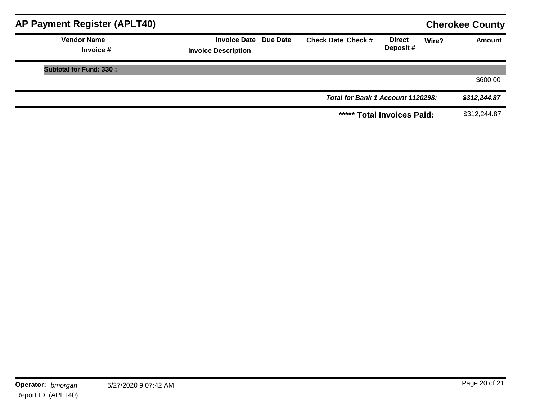| AP Payment Register (APLT40)      |                                                            |                                   |                           |       | <b>Cherokee County</b> |
|-----------------------------------|------------------------------------------------------------|-----------------------------------|---------------------------|-------|------------------------|
| <b>Vendor Name</b><br>Invoice $#$ | <b>Invoice Date Due Date</b><br><b>Invoice Description</b> | <b>Check Date Check #</b>         | <b>Direct</b><br>Deposit# | Wire? | <b>Amount</b>          |
| <b>Subtotal for Fund: 330:</b>    |                                                            |                                   |                           |       |                        |
|                                   |                                                            |                                   |                           |       | \$600.00               |
|                                   |                                                            | Total for Bank 1 Account 1120298: |                           |       | \$312,244.87           |
|                                   |                                                            | ***** Total Invoices Paid:        |                           |       | \$312,244.87           |